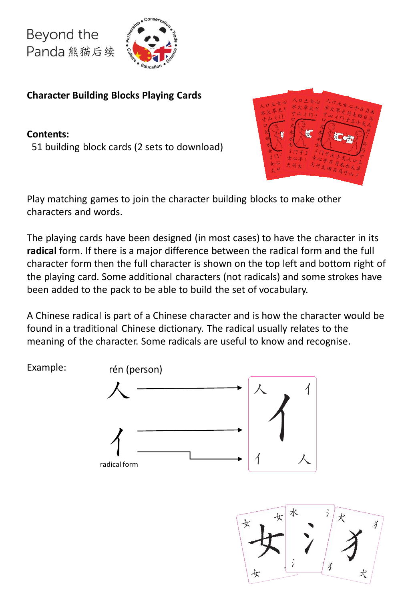Example:



**Character Building Blocks Playing Cards**

**Contents:** 51 building block cards (2 sets to download)



Play matching games to join the character building blocks to make other characters and words.

The playing cards have been designed (in most cases) to have the character in its **radical** form. If there is a major difference between the radical form and the full character form then the full character is shown on the top left and bottom right of the playing card. Some additional characters (not radicals) and some strokes have been added to the pack to be able to build the set of vocabulary.

A Chinese radical is part of a Chinese character and is how the character would be found in a traditional Chinese dictionary. The radical usually relates to the meaning of the character. Some radicals are useful to know and recognise.



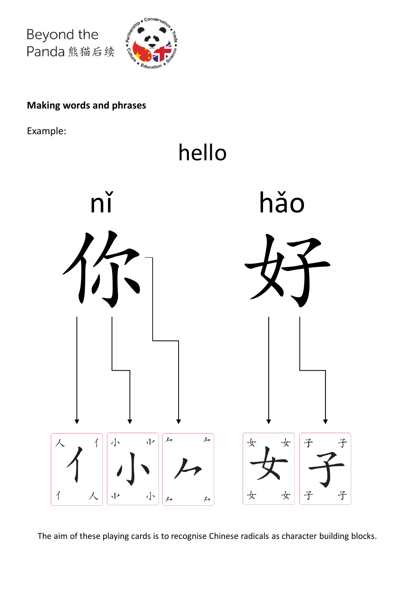

## **Making words and phrases**

Example:



The aim of these playing cards is to recognise Chinese radicals as character building blocks.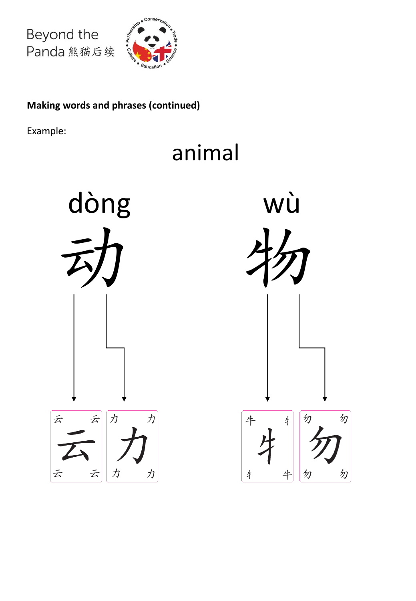

## **Making words and phrases (continued)**

Example:

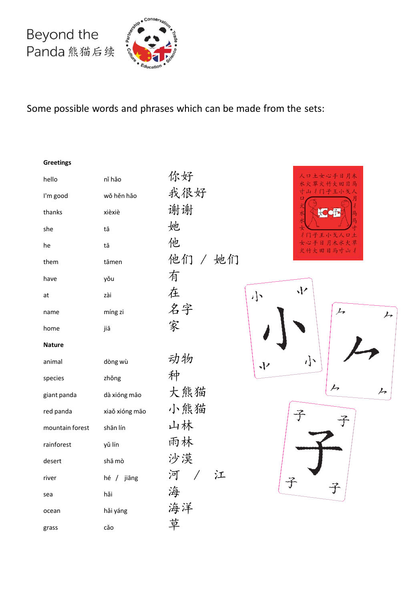

Some possible words and phrases which can be made from the sets:

**Greetings**

| hello           | ní hǎo         | 你好       |
|-----------------|----------------|----------|
| I'm good        | wǒ hěn hǎo     | 我很好      |
| thanks          | xièxiè         | 谢谢       |
| she             | tā             | 她        |
| he              | tā             | 他        |
| them            | tāmen          | 他们 / 她   |
| have            | yǒu            | 有        |
| at              | zài            | 在        |
| name            | míng zi        | 名字       |
| home            | jiā            | 家        |
| <b>Nature</b>   |                |          |
| animal          | dòng wù        | 动物       |
| species         | zhǒng          | 种        |
| giant panda     | dà xióng mão   | 大熊猫      |
| red panda       | xiaŏ xióng mão | 小熊猫      |
| mountain forest | shān lín       | 山林       |
| rainforest      | yǔ lín         | 雨林       |
| desert          | shā mò         | 沙漠       |
| river           | hé / jiāng     | 河 /<br>江 |
| sea             | hǎi            | 海        |
| ocean           | hải yáng       | 海洋       |
| grass           | cǎo            | 草        |

尔好 我很好 射谢 也们 / 她们 名字 勃物 大熊猫 小熊猫 山林 雨林 少漠 每洋



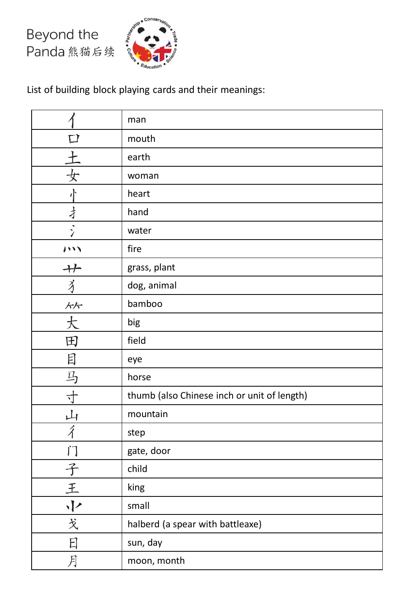

List of building block playing cards and their meanings:

|                        | man                                         |
|------------------------|---------------------------------------------|
|                        | mouth                                       |
|                        | earth                                       |
|                        | woman                                       |
|                        | heart                                       |
| 才                      | hand                                        |
|                        | water                                       |
| $\cdots$               | fire                                        |
| $+$                    | grass, plant                                |
| $\breve{\mathfrak{z}}$ | dog, animal                                 |
| 乐乐                     | bamboo                                      |
| 大                      | big                                         |
| 田                      | field                                       |
| 目                      | eye                                         |
| 马                      | horse                                       |
| ↸                      | thumb (also Chinese inch or unit of length) |
| 山                      | mountain                                    |
| $\hat{\mathcal{A}}$    | step                                        |
| $\sqrt{4}$             | gate, door                                  |
| 子                      | child                                       |
| 王                      | king                                        |
| $\sqrt{2}$             | small                                       |
| 戈                      | halberd (a spear with battleaxe)            |
| 日                      | sun, day                                    |
| 月                      | moon, month                                 |